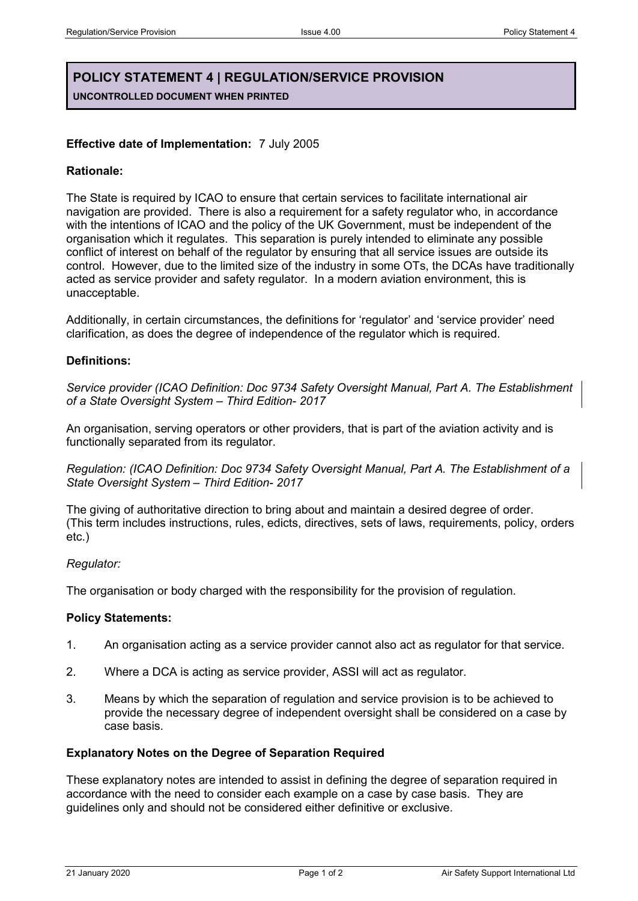# **POLICY STATEMENT 4 | REGULATION/SERVICE PROVISION UNCONTROLLED DOCUMENT WHEN PRINTED**

## **Effective date of Implementation:** 7 July 2005

## **Rationale:**

The State is required by ICAO to ensure that certain services to facilitate international air navigation are provided. There is also a requirement for a safety regulator who, in accordance with the intentions of ICAO and the policy of the UK Government, must be independent of the organisation which it regulates. This separation is purely intended to eliminate any possible conflict of interest on behalf of the regulator by ensuring that all service issues are outside its control. However, due to the limited size of the industry in some OTs, the DCAs have traditionally acted as service provider and safety regulator. In a modern aviation environment, this is unacceptable.

Additionally, in certain circumstances, the definitions for 'regulator' and 'service provider' need clarification, as does the degree of independence of the regulator which is required.

## **Definitions:**

*Service provider (ICAO Definition: Doc 9734 Safety Oversight Manual, Part A. The Establishment of a State Oversight System – Third Edition- 2017*

An organisation, serving operators or other providers, that is part of the aviation activity and is functionally separated from its regulator.

*Regulation: (ICAO Definition: Doc 9734 Safety Oversight Manual, Part A. The Establishment of a State Oversight System – Third Edition- 2017*

The giving of authoritative direction to bring about and maintain a desired degree of order. (This term includes instructions, rules, edicts, directives, sets of laws, requirements, policy, orders etc.)

### *Regulator:*

The organisation or body charged with the responsibility for the provision of regulation.

### **Policy Statements:**

- 1. An organisation acting as a service provider cannot also act as regulator for that service.
- 2. Where a DCA is acting as service provider, ASSI will act as regulator.
- 3. Means by which the separation of regulation and service provision is to be achieved to provide the necessary degree of independent oversight shall be considered on a case by case basis.

### **Explanatory Notes on the Degree of Separation Required**

These explanatory notes are intended to assist in defining the degree of separation required in accordance with the need to consider each example on a case by case basis. They are guidelines only and should not be considered either definitive or exclusive.